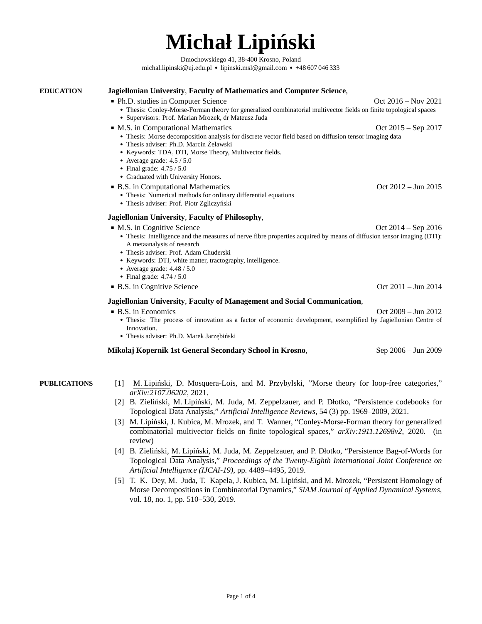# **Michał Lipiński**

Dmochowskiego 41, 38-400 Krosno, Poland [michal.lipinski@uj.edu.pl](mailto:michal.lipinski@uj.edu.pl) ● [lipinski.msl@gmail.com](mailto:lipinski.msl@gmail.com) ● +48 607 046 333

<span id="page-0-0"></span>**EDUCATION [Jagiellonian University](http://www.uj.edu.pl)**, **[Faculty of Mathematics and Computer Science](http://www.ii.uj.edu.pl)**, ■ Ph.D. studies in [Computer Science](http://www.ii.uj.edu.pl) **Oct 2016** – Nov 2021 ● Thesis: Conley-Morse-Forman theory for generalized combinatorial multivector fields on finite topological spaces ● Supervisors: Prof. Marian Mrozek, dr Mateusz Juda ■ M.S. in Computational Mathematics Conservation Conservation Conservation Conservation Conservation Conservation Conservation Conservation Conservation Conservation Conservation Conservation Conservation Conservation Con ● Thesis: Morse decomposition analysis for discrete vector field based on diffusion tensor imaging data ● Thesis adviser: Ph.D. Marcin Żelawski ● Keywords: TDA, DTI, Morse Theory, Multivector fields. ● Average grade: 4.5 / 5.0 ● Final grade: 4.75 / 5.0 • Graduated with University Honors. ■ B.S. in Computational Mathematics Oct 2012 – Jun 2015 ● Thesis: Numerical methods for ordinary differential equations ● Thesis adviser: Prof. Piotr Zgliczyński **[Jagiellonian University](http://www.uj.edu.pl)**, **[Faculty of Philosophy](http://www.ii.uj.edu.pl)**, ■ M.S. in Cognitive Science Communication of the Contract of the Oct 2014 – Sep 2016 • Thesis: Intelligence and the measures of nerve fibre properties acquired by means of diffusion tensor imaging (DTI): A metaanalysis of research ● Thesis adviser: Prof. Adam Chuderski • Keywords: DTI, white matter, tractography, intelligence. • Average grade:  $4.48 / 5.0$ ● Final grade: 4.74 / 5.0 ■ B.S. in Cognitive Science Oct 2011 – Jun 2014 **[Jagiellonian University](http://www.uj.edu.pl)**, **[Faculty of Management and Social Communication](http://www.ii.uj.edu.pl)**, ■ B.S. in Economics Oct 2009 – Jun 2012 ● Thesis: The process of innovation as a factor of economic development, exemplified by Jagiellonian Centre of Innovation. ● Thesis adviser: Ph.D. Marek Jarzębiński **[Mikołaj Kopernik 1st General Secondary School in Krosno](http://lo1krosno.info.pl/)**, Sep 2006 – Jun 2009

- **PUBLICATIONS** [1] [M. Lipiński, D. Mosquera-Lois, and M. Przybylski, "Morse theory for loop-free categories,"](https://arxiv.org/abs/2107.06202) *[arXiv:2107.06202](https://arxiv.org/abs/2107.06202)*, 2021.
	- [2] [B. Zieliński, M. Lipiński, M. Juda, M. Zeppelzauer, and P. Dłotko, "Persistence codebooks for](https://link.springer.com/article/10.1007/s10462-020-09897-4) Topological Data Analysis," *[Artificial Intelligence Reviews](https://link.springer.com/article/10.1007/s10462-020-09897-4)*, 54 (3) pp. 1969–2009, 2021.
	- [3] [M. Lipiński, J. Kubica, M. Mrozek, and T. Wanner, "Conley-Morse-Forman theory for generalized](https://arxiv.org/abs/1911.12698) [combinatorial multivector fields on finite topological spaces,"](https://arxiv.org/abs/1911.12698) *arXiv:1911.12698v2*, 2020. (in [review\)](https://arxiv.org/abs/1911.12698)
	- [4] [B. Zieliński, M. Lipiński, M. Juda, M. Zeppelzauer, and P. Dłotko, "Persistence Bag-of-Words for](https://www.ijcai.org/proceedings/2019/624) Topological Data Analysis," *[Proceedings of the Twenty-Eighth International Joint Conference on](https://www.ijcai.org/proceedings/2019/624) [Artificial Intelligence \(IJCAI-19\)](https://www.ijcai.org/proceedings/2019/624)*, pp. 4489–4495, 2019.
	- [5] [T. K. Dey, M. Juda, T. Kapela, J. Kubica, M. Lipiński, and M. Mrozek, "Persistent Homology of](https://epubs.siam.org/doi/abs/10.1137/18M1198946) [Morse Decompositions in Combinatorial Dynamics,"](https://epubs.siam.org/doi/abs/10.1137/18M1198946) *SIAM Journal of Applied Dynamical Systems*, [vol. 18, no. 1, pp. 510–530, 2019.](https://epubs.siam.org/doi/abs/10.1137/18M1198946)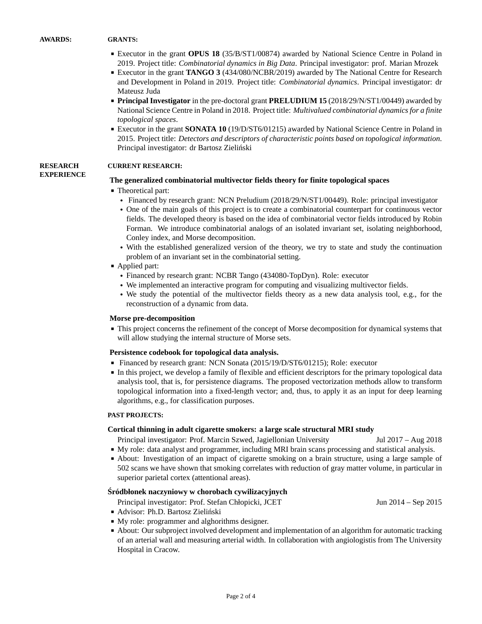- Executor in the grant **OPUS 18** (35/B/ST1/00874) awarded by National Science Centre in Poland in 2019. Project title: *Combinatorial dynamics in Big Data*. Principal investigator: prof. Marian Mrozek
- Executor in the grant **TANGO 3** (434/080/NCBR/2019) awarded by The National Centre for Research and Development in Poland in 2019. Project title: *Combinatorial dynamics*. Principal investigator: dr Mateusz Juda
- **Principal Investigator** in the pre-doctoral grant **PRELUDIUM 15** (2018/29/N/ST1/00449) awarded by National Science Centre in Poland in 2018. Project title: *Multivalued combinatorial dynamics for a finite topological spaces*.
- Executor in the grant **SONATA 10** (19/D/ST6/01215) awarded by National Science Centre in Poland in 2015. Project title: *Detectors and descriptors of characteristic points based on topological information*. Principal investigator: dr Bartosz Zieliński

#### **RESEARCH EXPERIENCE CURRENT RESEARCH:**

#### **The generalized combinatorial multivector fields theory for finite topological spaces**

- Theoretical part:
	- [Financed by research grant: NCN Preludium \(2018/29/N/ST1/00449\). Role: principal investigator](https://projekty.ncn.gov.pl/index.php?projekt_id=409799)
	- One of the main goals of this project is to create a combinatorial counterpart for continuous vector fields. The developed theory is based on the idea of combinatorial vector fields introduced by Robin Forman. We introduce combinatorial analogs of an isolated invariant set, isolating neighborhood, Conley index, and Morse decomposition.
	- With the established generalized version of the theory, we try to state and study the continuation problem of an invariant set in the combinatorial setting.
- Applied part:
	- Financed by research grant: NCBR Tango (434080-TopDyn). Role: executor
	- We implemented an interactive program for computing and visualizing multivector fields.
	- We study the potential of the multivector fields theory as a new data analysis tool, e.g., for the reconstruction of a dynamic from data.

#### **Morse pre-decomposition**

■ This project concerns the refinement of the concept of Morse decomposition for dynamical systems that will allow studying the internal structure of Morse sets.

#### **Persistence codebook for topological data analysis.**

- [Financed by research grant: NCN Sonata \(2015/19/D/ST6/01215\); Role: executor](https://projekty.ncn.gov.pl/index.php?projekt_id=311262)
- In this project, we develop a family of flexible and efficient descriptors for the primary topological data analysis tool, that is, for persistence diagrams. The proposed vectorization methods allow to transform topological information into a fixed-length vector; and, thus, to apply it as an input for deep learning algorithms, e.g., for classification purposes.

#### **PAST PROJECTS:**

## **Cortical thinning in adult cigarette smokers: a large scale structural MRI study**

Principal investigator: Prof. Marcin Szwed, Jagiellonian University Jul 2017 – Aug 2018

- My role: data analyst and programmer, including MRI brain scans processing and statistical analysis.
- About: Investigation of an impact of cigarette smoking on a brain structure, using a large sample of 502 scans we have shown that smoking correlates with reduction of gray matter volume, in particular in superior parietal cortex (attentional areas).

## **Śródbłonek naczyniowy w chorobach cywilizacyjnych**

Principal investigator: Prof. Stefan Chłopicki, JCET Jun 2014 – Sep 2015

- Advisor: Ph.D. Bartosz Zieliński
- My role: programmer and alghorithms designer.
- About: Our subproject involved development and implementation of an algorithm for automatic tracking of an arterial wall and measuring arterial width. In collaboration with angiologistis from The University Hospital in Cracow.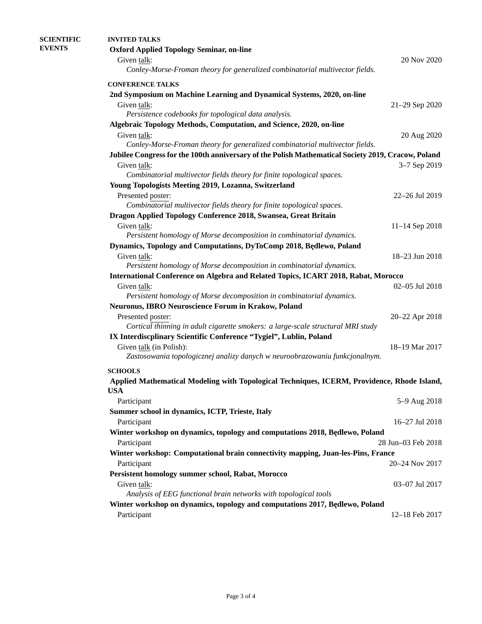| <b>SCIENTIFIC</b> | <b>INVITED TALKS</b>                                                                                                                             |                    |  |  |
|-------------------|--------------------------------------------------------------------------------------------------------------------------------------------------|--------------------|--|--|
| <b>EVENTS</b>     | <b>Oxford Applied Topology Seminar, on-line</b>                                                                                                  |                    |  |  |
|                   | Given talk:                                                                                                                                      | 20 Nov 2020        |  |  |
|                   | Conley-Morse-Froman theory for generalized combinatorial multivector fields.                                                                     |                    |  |  |
|                   | <b>CONFERENCE TALKS</b>                                                                                                                          |                    |  |  |
|                   | 2nd Symposium on Machine Learning and Dynamical Systems, 2020, on-line                                                                           |                    |  |  |
|                   | Given talk:                                                                                                                                      | 21-29 Sep 2020     |  |  |
|                   | Persistence codebooks for topological data analysis.                                                                                             |                    |  |  |
|                   | Algebraic Topology Methods, Computation, and Science, 2020, on-line                                                                              |                    |  |  |
|                   | Given talk:                                                                                                                                      | 20 Aug 2020        |  |  |
|                   | Conley-Morse-Froman theory for generalized combinatorial multivector fields.                                                                     |                    |  |  |
|                   | Jubilee Congress for the 100th anniversary of the Polish Mathematical Society 2019, Cracow, Poland                                               |                    |  |  |
|                   | Given talk:                                                                                                                                      | 3-7 Sep 2019       |  |  |
|                   | Combinatorial multivector fields theory for finite topological spaces.                                                                           |                    |  |  |
|                   | Young Topologists Meeting 2019, Lozanna, Switzerland                                                                                             |                    |  |  |
|                   | Presented poster:                                                                                                                                | 22-26 Jul 2019     |  |  |
|                   | Combinatorial multivector fields theory for finite topological spaces.                                                                           |                    |  |  |
|                   | Dragon Applied Topology Conference 2018, Swansea, Great Britain                                                                                  |                    |  |  |
|                   | Given talk:                                                                                                                                      | 11-14 Sep 2018     |  |  |
|                   | Persistent homology of Morse decomposition in combinatorial dynamics.                                                                            |                    |  |  |
|                   | Dynamics, Topology and Computations, DyToComp 2018, Będlewo, Poland                                                                              |                    |  |  |
|                   | Given talk:                                                                                                                                      | 18-23 Jun 2018     |  |  |
|                   | Persistent homology of Morse decomposition in combinatorial dynamics.                                                                            |                    |  |  |
|                   | <b>International Conference on Algebra and Related Topics, ICART 2018, Rabat, Morocco</b>                                                        |                    |  |  |
|                   | Given talk:                                                                                                                                      | 02-05 Jul 2018     |  |  |
|                   | Persistent homology of Morse decomposition in combinatorial dynamics.                                                                            |                    |  |  |
|                   | Neuronus, IBRO Neuroscience Forum in Krakow, Poland                                                                                              |                    |  |  |
|                   | Presented poster:                                                                                                                                | 20-22 Apr 2018     |  |  |
|                   | Cortical thinning in adult cigarette smokers: a large-scale structural MRI study                                                                 |                    |  |  |
|                   | IX Interdiscplinary Scientific Conference "Tygiel", Lublin, Poland<br>Given talk (in Polish):                                                    | 18-19 Mar 2017     |  |  |
|                   | Zastosowania topologicznej analizy danych w neuroobrazowaniu funkcjonalnym.                                                                      |                    |  |  |
|                   |                                                                                                                                                  |                    |  |  |
|                   | <b>SCHOOLS</b>                                                                                                                                   |                    |  |  |
|                   | Applied Mathematical Modeling with Topological Techniques, ICERM, Providence, Rhode Island,<br><b>USA</b>                                        |                    |  |  |
|                   |                                                                                                                                                  | 5-9 Aug 2018       |  |  |
|                   | Participant                                                                                                                                      |                    |  |  |
|                   | Summer school in dynamics, ICTP, Trieste, Italy                                                                                                  | 16-27 Jul 2018     |  |  |
|                   | Participant                                                                                                                                      |                    |  |  |
|                   | Winter workshop on dynamics, topology and computations 2018, Będlewo, Poland                                                                     |                    |  |  |
|                   | Participant                                                                                                                                      | 28 Jun-03 Feb 2018 |  |  |
|                   | Winter workshop: Computational brain connectivity mapping, Juan-les-Pins, France                                                                 |                    |  |  |
|                   | Participant                                                                                                                                      | 20-24 Nov 2017     |  |  |
|                   | Persistent homology summer school, Rabat, Morocco                                                                                                |                    |  |  |
|                   | Given talk:                                                                                                                                      | 03-07 Jul 2017     |  |  |
|                   | Analysis of EEG functional brain networks with topological tools<br>Winter workshop on dynamics, topology and computations 2017, Będlewo, Poland |                    |  |  |
|                   |                                                                                                                                                  |                    |  |  |
|                   | Participant                                                                                                                                      | 12-18 Feb 2017     |  |  |